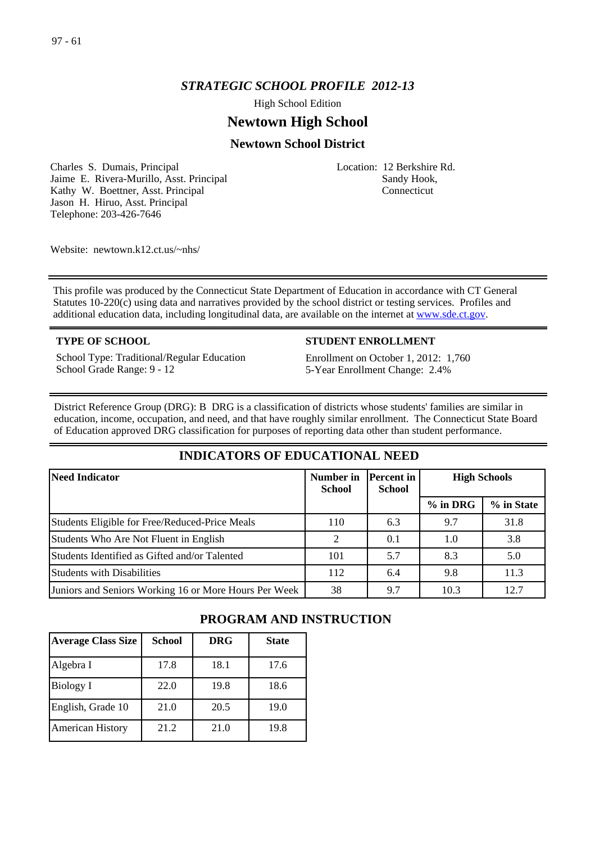## *STRATEGIC SCHOOL PROFILE 2012-13*

High School Edition

# **Newtown High School**

## **Newtown School District**

Charles S. Dumais, Principal Jaime E. Rivera-Murillo, Asst. Principal Kathy W. Boettner, Asst. Principal Jason H. Hiruo, Asst. Principal Telephone: 203-426-7646

Location: 12 Berkshire Rd. Sandy Hook, Connecticut

Website: newtown.k12.ct.us/~nhs/

This profile was produced by the Connecticut State Department of Education in accordance with CT General Statutes 10-220(c) using data and narratives provided by the school district or testing services. Profiles and additional education data, including longitudinal data, are available on the internet at [www.sde.ct.gov](http://www.sde.ct.gov/).

School Type: Traditional/Regular Education School Grade Range: 9 - 12

#### **TYPE OF SCHOOL STUDENT ENROLLMENT**

Enrollment on October 1, 2012: 1,760 5-Year Enrollment Change: 2.4%

District Reference Group (DRG): B DRG is a classification of districts whose students' families are similar in education, income, occupation, and need, and that have roughly similar enrollment. The Connecticut State Board of Education approved DRG classification for purposes of reporting data other than student performance.

## **INDICATORS OF EDUCATIONAL NEED**

| Need Indicator                                        | Number in<br><b>School</b> | Percent in <br><b>School</b> | <b>High Schools</b> |            |
|-------------------------------------------------------|----------------------------|------------------------------|---------------------|------------|
|                                                       |                            |                              | $%$ in DRG          | % in State |
| <b>Students Eligible for Free/Reduced-Price Meals</b> | 110                        | 6.3                          | 9.7                 | 31.8       |
| Students Who Are Not Fluent in English                | າ                          | 0.1                          | 1.0                 | 3.8        |
| Students Identified as Gifted and/or Talented         | 101                        | 5.7                          | 8.3                 | 5.0        |
| <b>Students with Disabilities</b>                     | 112                        | 6.4                          | 9.8                 | 11.3       |
| Juniors and Seniors Working 16 or More Hours Per Week | 38                         | 9.7                          | 10.3                | 12.7       |

## **PROGRAM AND INSTRUCTION**

| <b>Average Class Size</b> | <b>School</b> | <b>DRG</b> | <b>State</b> |
|---------------------------|---------------|------------|--------------|
| Algebra I                 | 17.8          | 18.1       | 17.6         |
| Biology I                 | 22.0          | 19.8       | 18.6         |
| English, Grade 10         | 21.0          | 20.5       | 19.0         |
| <b>American History</b>   | 21.2          | 21.0       | 19.8         |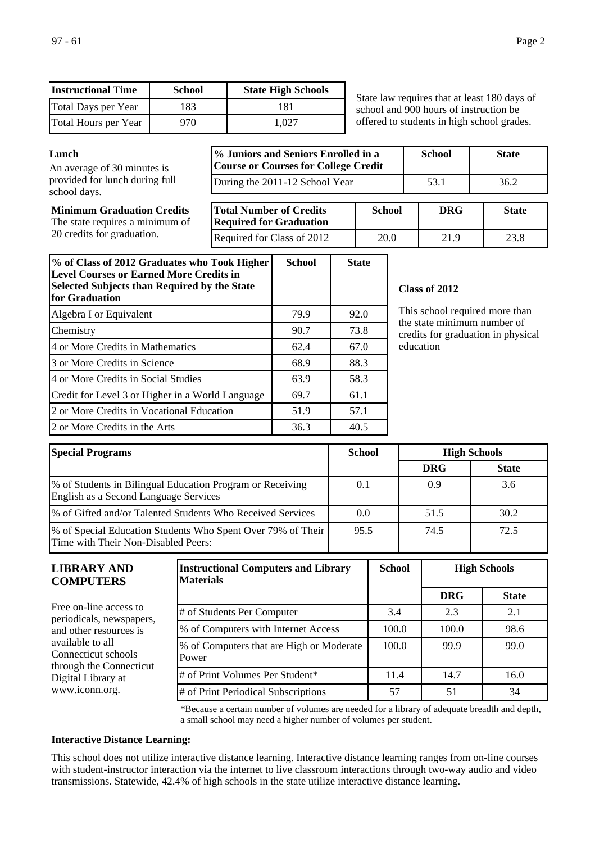| <b>Instructional Time</b>   | <b>School</b> | <b>State High Schools</b> |
|-----------------------------|---------------|---------------------------|
| Total Days per Year         | 183           | 181                       |
| <b>Total Hours per Year</b> | 970           | 1.027                     |

State law requires that at least 180 days of school and 900 hours of instruction be offered to students in high school grades.

**Minimum Graduation Credits** The state requires a minimum of 20 credits for graduation.

| Lunch<br>An average of 30 minutes is           | % Juniors and Seniors Enrolled in a<br><b>Course or Courses for College Credit</b> | <b>School</b> | <b>State</b> |              |
|------------------------------------------------|------------------------------------------------------------------------------------|---------------|--------------|--------------|
| provided for lunch during full<br>school days. | During the 2011-12 School Year                                                     |               | 53.1         | 36.2         |
| <b>Minimum Graduation Credits</b>              | <b>Total Number of Credits</b>                                                     | <b>School</b> | <b>DRG</b>   | <b>State</b> |

| <b>Total Number of Credits</b><br><b>Required for Graduation</b> | School | DKG  | State |
|------------------------------------------------------------------|--------|------|-------|
| <b>Required for Class of 2012</b>                                | 20.0   | 21.9 | 23.8  |

| % of Class of 2012 Graduates who Took Higher<br><b>Level Courses or Earned More Credits in</b><br><b>Selected Subjects than Required by the State</b><br>for Graduation | <b>School</b> | <b>State</b> |
|-------------------------------------------------------------------------------------------------------------------------------------------------------------------------|---------------|--------------|
| Algebra I or Equivalent                                                                                                                                                 | 79.9          | 92.0         |
| Chemistry                                                                                                                                                               | 90.7          | 73.8         |
| 4 or More Credits in Mathematics                                                                                                                                        | 62.4          | 67.0         |
| 3 or More Credits in Science                                                                                                                                            | 68.9          | 88.3         |
| 4 or More Credits in Social Studies                                                                                                                                     | 63.9          | 58.3         |
| Credit for Level 3 or Higher in a World Language                                                                                                                        | 69.7          | 61.1         |
| 2 or More Credits in Vocational Education                                                                                                                               | 51.9          | 57.1         |
| 2 or More Credits in the Arts                                                                                                                                           | 36.3          | 40.5         |

## **Class of 2012**

This school required more than the state minimum number of credits for graduation in physical education

| <b>Special Programs</b><br><b>School</b>                                                           |      | <b>High Schools</b> |              |
|----------------------------------------------------------------------------------------------------|------|---------------------|--------------|
|                                                                                                    |      | <b>DRG</b>          | <b>State</b> |
| % of Students in Bilingual Education Program or Receiving<br>English as a Second Language Services | 0.1  | 0.9                 | 3.6          |
| 1% of Gifted and/or Talented Students Who Received Services                                        | 0.0  | 51.5                | 30.2         |
| % of Special Education Students Who Spent Over 79% of Their<br>Time with Their Non-Disabled Peers: | 95.5 | 74.5                | 72.5         |

| <b>LIBRARY AND</b><br><b>COMPUTERS</b>                             | <b>Instructional Computers and Library</b><br><b>Materials</b> | <b>School</b> |            | <b>High Schools</b> |
|--------------------------------------------------------------------|----------------------------------------------------------------|---------------|------------|---------------------|
|                                                                    |                                                                |               | <b>DRG</b> | <b>State</b>        |
| Free on-line access to<br>periodicals, newspapers,                 | # of Students Per Computer                                     | 3.4           | 2.3        | 2.1                 |
| and other resources is                                             | % of Computers with Internet Access                            | 100.0         | 100.0      | 98.6                |
| available to all<br>Connecticut schools<br>through the Connecticut | % of Computers that are High or Moderate<br>Power              | 100.0         | 99.9       | 99.0                |
| Digital Library at                                                 | # of Print Volumes Per Student*                                | 11.4          | 14.7       | 16.0                |
| www.iconn.org.                                                     | # of Print Periodical Subscriptions                            | 57            | 51         | 34                  |

\*Because a certain number of volumes are needed for a library of adequate breadth and depth, a small school may need a higher number of volumes per student.

#### **Interactive Distance Learning:**

This school does not utilize interactive distance learning. Interactive distance learning ranges from on-line courses with student-instructor interaction via the internet to live classroom interactions through two-way audio and video transmissions. Statewide, 42.4% of high schools in the state utilize interactive distance learning.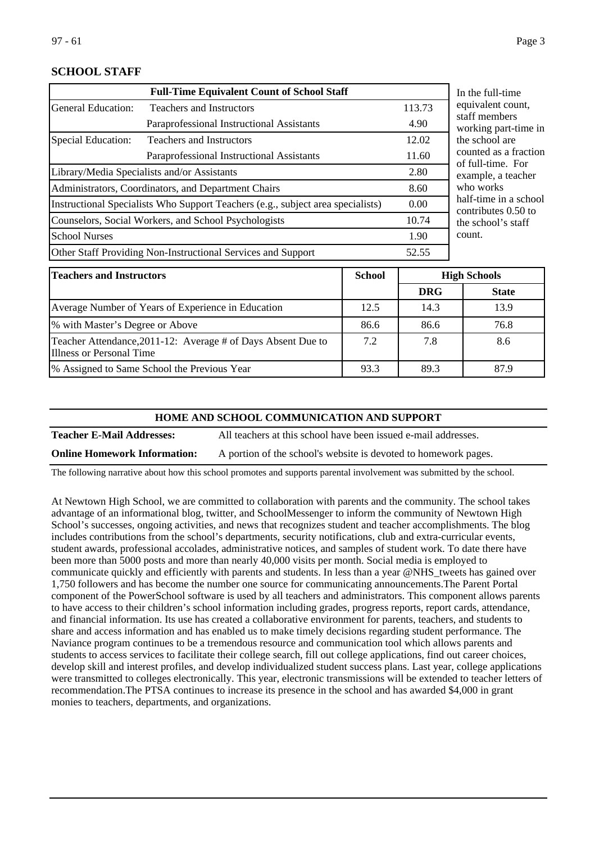## **SCHOOL STAFF**

|                                                                                 | <b>Full-Time Equivalent Count of School Staff</b>            |        | In the full-ti                |
|---------------------------------------------------------------------------------|--------------------------------------------------------------|--------|-------------------------------|
| <b>General Education:</b>                                                       | <b>Teachers and Instructors</b>                              | 113.73 | equivalent of                 |
|                                                                                 | Paraprofessional Instructional Assistants                    | 4.90   | staff membe<br>working par    |
| <b>Special Education:</b>                                                       | <b>Teachers and Instructors</b>                              | 12.02  | the school a                  |
|                                                                                 | Paraprofessional Instructional Assistants                    | 11.60  | counted as a<br>of full-time. |
| Library/Media Specialists and/or Assistants                                     |                                                              | 2.80   | example, a                    |
| Administrators, Coordinators, and Department Chairs                             |                                                              | 8.60   | who works                     |
| Instructional Specialists Who Support Teachers (e.g., subject area specialists) |                                                              | 0.00   | half-time in<br>contributes   |
| Counselors, Social Workers, and School Psychologists                            |                                                              | 10.74  | the school's                  |
| <b>School Nurses</b>                                                            |                                                              | 1.90   | count.                        |
|                                                                                 | Other Staff Providing Non-Instructional Services and Support | 52.55  |                               |

ime count. ers rt-time in re a fraction . For teacher a school  $0.50$  to s staff

| <b>Teachers and Instructors</b>                                                          | <b>School</b> |            | <b>High Schools</b> |  |
|------------------------------------------------------------------------------------------|---------------|------------|---------------------|--|
|                                                                                          |               | <b>DRG</b> | <b>State</b>        |  |
| Average Number of Years of Experience in Education                                       | 12.5          | 14.3       | 13.9                |  |
| % with Master's Degree or Above                                                          | 86.6          | 86.6       | 76.8                |  |
| Teacher Attendance, 2011-12: Average # of Days Absent Due to<br>Illness or Personal Time | 7.2           | 7.8        | 8.6                 |  |
| % Assigned to Same School the Previous Year                                              | 93.3          | 89.3       | 87.9                |  |

#### **HOME AND SCHOOL COMMUNICATION AND SUPPORT**

**Teacher E-Mail Addresses:** All teachers at this school have been issued e-mail addresses.

**Online Homework Information:** A portion of the school's website is devoted to homework pages.

The following narrative about how this school promotes and supports parental involvement was submitted by the school.

At Newtown High School, we are committed to collaboration with parents and the community. The school takes advantage of an informational blog, twitter, and SchoolMessenger to inform the community of Newtown High School's successes, ongoing activities, and news that recognizes student and teacher accomplishments. The blog includes contributions from the school's departments, security notifications, club and extra-curricular events, student awards, professional accolades, administrative notices, and samples of student work. To date there have been more than 5000 posts and more than nearly 40,000 visits per month. Social media is employed to communicate quickly and efficiently with parents and students. In less than a year @NHS\_tweets has gained over 1,750 followers and has become the number one source for communicating announcements.The Parent Portal component of the PowerSchool software is used by all teachers and administrators. This component allows parents to have access to their children's school information including grades, progress reports, report cards, attendance, and financial information. Its use has created a collaborative environment for parents, teachers, and students to share and access information and has enabled us to make timely decisions regarding student performance. The Naviance program continues to be a tremendous resource and communication tool which allows parents and students to access services to facilitate their college search, fill out college applications, find out career choices, develop skill and interest profiles, and develop individualized student success plans. Last year, college applications were transmitted to colleges electronically. This year, electronic transmissions will be extended to teacher letters of recommendation.The PTSA continues to increase its presence in the school and has awarded \$4,000 in grant monies to teachers, departments, and organizations.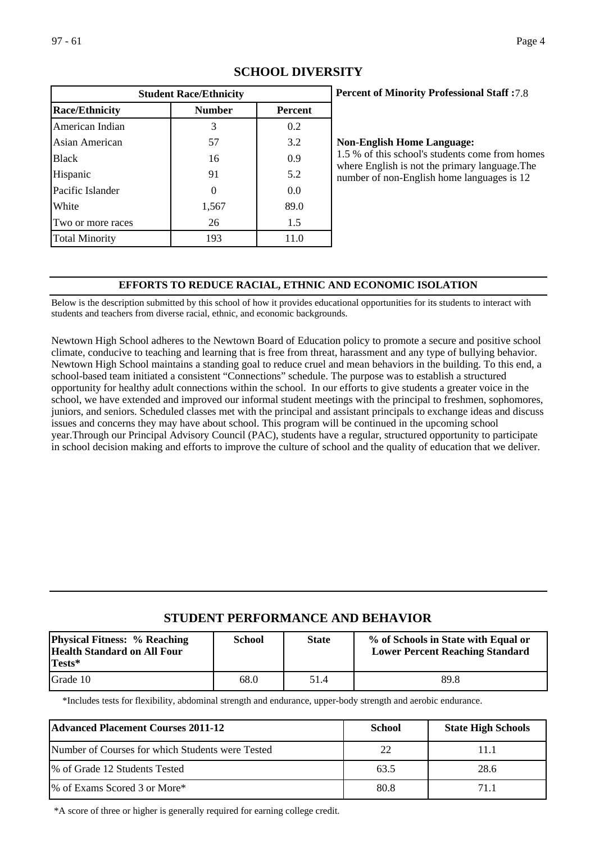| <b>Student Race/Ethnicity</b> |               |                |  |  |
|-------------------------------|---------------|----------------|--|--|
| <b>Race/Ethnicity</b>         | <b>Number</b> | <b>Percent</b> |  |  |
| American Indian               | 3             | 0.2            |  |  |
| Asian American                | 57            | 3.2            |  |  |
| <b>Black</b>                  | 16            | 0.9            |  |  |
| Hispanic                      | 91            | 5.2            |  |  |
| Pacific Islander              |               | 0.0            |  |  |
| White                         | 1,567         | 89.0           |  |  |
| Two or more races             | 26            | 1.5            |  |  |
| <b>Total Minority</b>         | 193           | 11.0           |  |  |

# **SCHOOL DIVERSITY**

## **Percent of Minority Professional Staff :** 7.8

## **Non-English Home Language:**

1.5 % of this school's students come from homes where English is not the primary language.The number of non-English home languages is 12

## **EFFORTS TO REDUCE RACIAL, ETHNIC AND ECONOMIC ISOLATION**

Below is the description submitted by this school of how it provides educational opportunities for its students to interact with students and teachers from diverse racial, ethnic, and economic backgrounds.

Newtown High School adheres to the Newtown Board of Education policy to promote a secure and positive school climate, conducive to teaching and learning that is free from threat, harassment and any type of bullying behavior. Newtown High School maintains a standing goal to reduce cruel and mean behaviors in the building. To this end, a school-based team initiated a consistent "Connections" schedule. The purpose was to establish a structured opportunity for healthy adult connections within the school. In our efforts to give students a greater voice in the school, we have extended and improved our informal student meetings with the principal to freshmen, sophomores, juniors, and seniors. Scheduled classes met with the principal and assistant principals to exchange ideas and discuss issues and concerns they may have about school. This program will be continued in the upcoming school year.Through our Principal Advisory Council (PAC), students have a regular, structured opportunity to participate in school decision making and efforts to improve the culture of school and the quality of education that we deliver.

# **STUDENT PERFORMANCE AND BEHAVIOR**

| <b>Physical Fitness: % Reaching</b><br><b>Health Standard on All Four</b><br>Tests* | <b>School</b> | <b>State</b> | % of Schools in State with Equal or<br><b>Lower Percent Reaching Standard</b> |
|-------------------------------------------------------------------------------------|---------------|--------------|-------------------------------------------------------------------------------|
| Grade 10                                                                            | 68.0          | 51.4         | 89.8                                                                          |

\*Includes tests for flexibility, abdominal strength and endurance, upper-body strength and aerobic endurance.

| <b>Advanced Placement Courses 2011-12</b>        | <b>School</b> | <b>State High Schools</b> |  |  |
|--------------------------------------------------|---------------|---------------------------|--|--|
| Number of Courses for which Students were Tested | 22            | 11.1                      |  |  |
| % of Grade 12 Students Tested                    | 63.5          | 28.6                      |  |  |
| 1% of Exams Scored 3 or More*                    | 80.8          | 71.1                      |  |  |

\*A score of three or higher is generally required for earning college credit.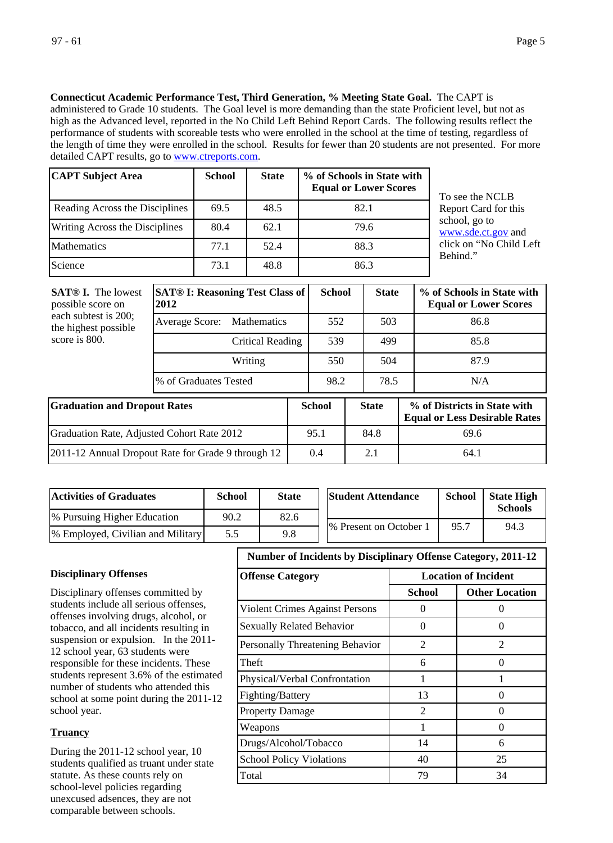**Connecticut Academic Performance Test, Third Generation, % Meeting State Goal.** The CAPT is

administered to Grade 10 students. The Goal level is more demanding than the state Proficient level, but not as high as the Advanced level, reported in the No Child Left Behind Report Cards. The following results reflect the performance of students with scoreable tests who were enrolled in the school at the time of testing, regardless of the length of time they were enrolled in the school. Results for fewer than 20 students are not presented. For more detailed CAPT results, go to [www.ctreports.com](http://www.ctreports.com/).

| <b>CAPT Subject Area</b>              | <b>School</b> | <b>State</b> | % of Schools in State with<br><b>Equal or Lower Scores</b> |
|---------------------------------------|---------------|--------------|------------------------------------------------------------|
| Reading Across the Disciplines        | 69.5          | 48.5         | 82.1                                                       |
| <b>Writing Across the Disciplines</b> | 80.4          | 62.1         | 79.6                                                       |
| <b>Mathematics</b>                    | 77.1          | 52.4         | 88.3                                                       |
| Science                               | 73.1          | 48.8         | 86.3                                                       |

To see the NCLB Report Card for this school, go to [www.sde.ct.gov](http://www.sde.ct.gov/) and click on "No Child Left Behind."

| <b>SAT®</b> I. The lowest<br>possible score on<br>each subtest is 200;<br>the highest possible<br>score is 800. | <b>SAT® I: Reasoning Test Class of</b><br>2012 |     | <b>School</b> | <b>State</b> |              |  | % of Schools in State with<br><b>Equal or Lower Scores</b>           |  |
|-----------------------------------------------------------------------------------------------------------------|------------------------------------------------|-----|---------------|--------------|--------------|--|----------------------------------------------------------------------|--|
|                                                                                                                 | Average Score:<br><b>Mathematics</b>           |     | 552           |              | 503          |  | 86.8                                                                 |  |
|                                                                                                                 | Critical Reading                               |     | 539           |              | 499          |  | 85.8                                                                 |  |
|                                                                                                                 | Writing                                        |     | 550           | 504          |              |  | 87.9                                                                 |  |
|                                                                                                                 | % of Graduates Tested                          |     | 98.2          | 78.5         |              |  | N/A                                                                  |  |
| <b>Graduation and Dropout Rates</b>                                                                             |                                                |     | <b>School</b> |              | <b>State</b> |  | % of Districts in State with<br><b>Equal or Less Desirable Rates</b> |  |
| Graduation Rate, Adjusted Cohort Rate 2012                                                                      |                                                |     | 95.1          |              | 84.8         |  | 69.6                                                                 |  |
| 2011-12 Annual Dropout Rate for Grade 9 through 12                                                              |                                                | 0.4 |               |              | 2.1          |  | 64.1                                                                 |  |

| <b>Activities of Graduates</b>            | <b>School</b> | <b>State</b> | <b>Student Attendance</b> | <b>School</b> | <b>State High</b><br><b>Schools</b> |
|-------------------------------------------|---------------|--------------|---------------------------|---------------|-------------------------------------|
| <sup>[96]</sup> Pursuing Higher Education | 90.2          | 82.6         |                           |               |                                     |
| [% Employed, Civilian and Military]       | 5.5           | 9.8          | 1% Present on October 1   | 95.7          | 94.3                                |

## **Disciplinary Offenses**

Disciplinary offenses committed by students include all serious offenses, offenses involving drugs, alcohol, or tobacco, and all incidents resulting in suspension or expulsion. In the 2011- 12 school year, 63 students were responsible for these incidents. These students represent 3.6% of the estimated number of students who attended this school at some point during the 2011-12 school year.

## **Truancy**

During the 2011-12 school year, 10 students qualified as truant under state statute. As these counts rely on school-level policies regarding unexcused adsences, they are not comparable between schools.

## **Number of Incidents by Disciplinary Offense Category, 2011-12**

| <b>Offense Category</b>          | <b>Location of Incident</b> |                       |  |
|----------------------------------|-----------------------------|-----------------------|--|
|                                  | School                      | <b>Other Location</b> |  |
| Violent Crimes Against Persons   | $\mathbf{\Omega}$           |                       |  |
| <b>Sexually Related Behavior</b> | 0                           | 0                     |  |
| Personally Threatening Behavior  | $\mathfrak{D}$              | $\mathfrak{D}$        |  |
| Theft                            | 6                           | ∩                     |  |
| Physical/Verbal Confrontation    |                             |                       |  |
| Fighting/Battery                 | 13                          | 0                     |  |
| <b>Property Damage</b>           | $\mathfrak{D}$              | $\mathbf{\Omega}$     |  |
| Weapons                          |                             | 0                     |  |
| Drugs/Alcohol/Tobacco            | 14                          | 6                     |  |
| <b>School Policy Violations</b>  | 40                          | 25                    |  |
| Total                            | 79                          | 34                    |  |